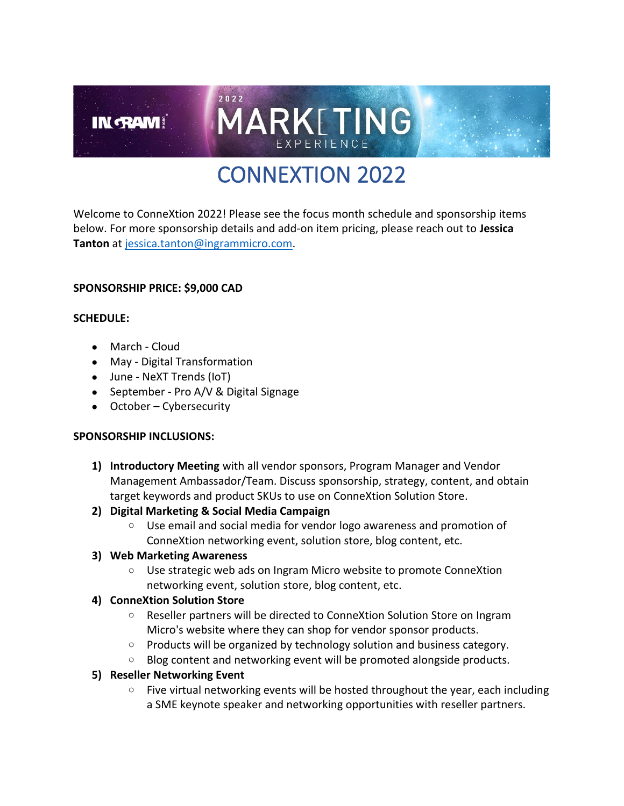# CONNEXTION 2022

MARKETING

Welcome to ConneXtion 2022! Please see the focus month schedule and sponsorship items below. For more sponsorship details and add-on item pricing, please reach out to **Jessica Tanton** at [jessica.tanton@ingrammicro.com.](mailto:jessica.tanton@ingrammicro.com)

#### **SPONSORSHIP PRICE: \$9,000 CAD**

#### **SCHEDULE:**

• March - Cloud

**IN RAM** 

- May Digital Transformation
- June NeXT Trends (IoT)
- September Pro A/V & Digital Signage

2022

• October – Cybersecurity

#### **SPONSORSHIP INCLUSIONS:**

- **1) Introductory Meeting** with all vendor sponsors, Program Manager and Vendor Management Ambassador/Team. Discuss sponsorship, strategy, content, and obtain target keywords and product SKUs to use on ConneXtion Solution Store.
- **2) Digital Marketing & Social Media Campaign**
	- o Use email and social media for vendor logo awareness and promotion of ConneXtion networking event, solution store, blog content, etc.
- **3) Web Marketing Awareness**
	- o Use strategic web ads on Ingram Micro website to promote ConneXtion networking event, solution store, blog content, etc.

#### **4) ConneXtion Solution Store**

- o Reseller partners will be directed to ConneXtion Solution Store on Ingram Micro's website where they can shop for vendor sponsor products.
- $\circ$  Products will be organized by technology solution and business category.
- o Blog content and networking event will be promoted alongside products.

#### **5) Reseller Networking Event**

 $\circ$  Five virtual networking events will be hosted throughout the year, each including a SME keynote speaker and networking opportunities with reseller partners.